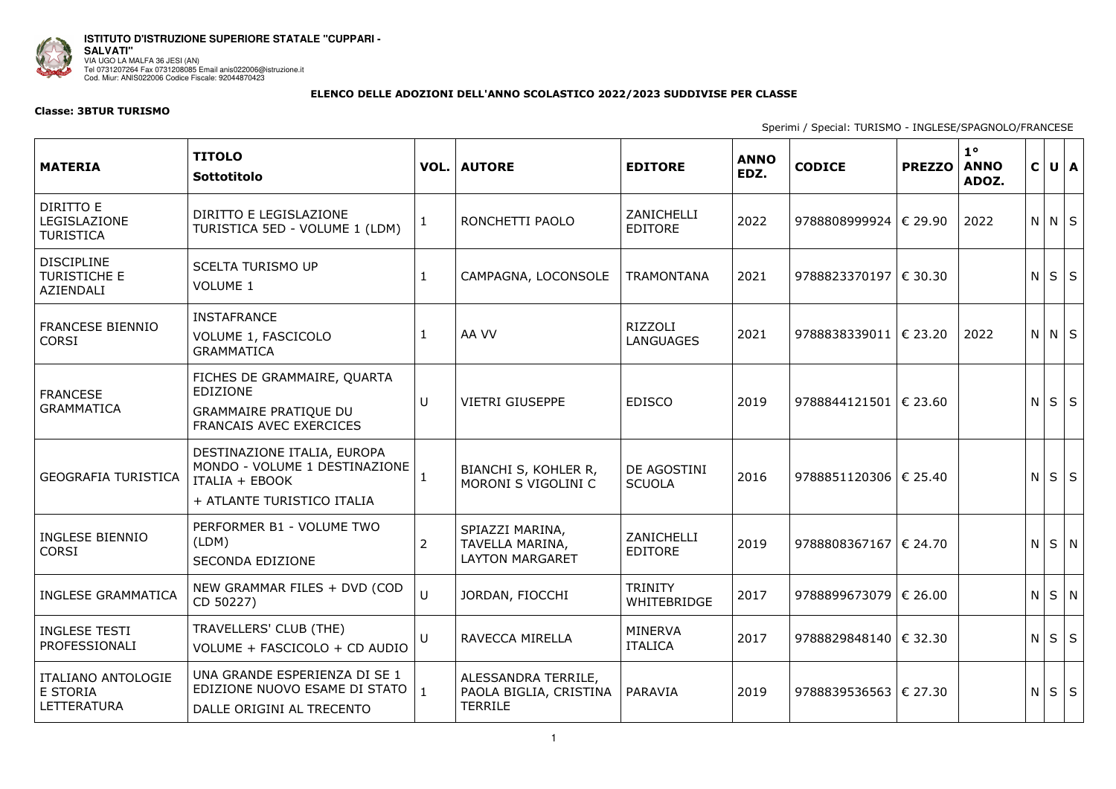

**ISTITUTO D'ISTRUZIONE SUPERIORE STATALE "CUPPARI - SALVATI"**  VIA UGO LA MALFA 36 JESI (AN) Tel 0731207264 Fax 0731208085 Email anis022006@istruzione.it Cod. Miur: ANIS022006 Codice Fiscale: 92044870423

## **ELENCO DELLE ADOZIONI DELL'ANNO SCOLASTICO 2022/2023 SUDDIVISE PER CLASSE**

## **Classe: 3BTUR TURISMO**

Sperimi / Special: TURISMO - INGLESE/SPAGNOLO/FRANCESE

| <b>MATERIA</b>                                               | <b>TITOLO</b><br>Sottotitolo                                                                                        |                | <b>VOL. AUTORE</b>                                                  | <b>EDITORE</b>                | <b>ANNO</b><br>EDZ. | <b>CODICE</b>               | <b>PREZZO</b> | $1^{\circ}$<br><b>ANNO</b><br>ADOZ. | $\mathsf{C}$ |             | $U \mid A$  |
|--------------------------------------------------------------|---------------------------------------------------------------------------------------------------------------------|----------------|---------------------------------------------------------------------|-------------------------------|---------------------|-----------------------------|---------------|-------------------------------------|--------------|-------------|-------------|
| DIRITTO E<br>LEGISLAZIONE<br><b>TURISTICA</b>                | DIRITTO E LEGISLAZIONE<br>TURISTICA 5ED - VOLUME 1 (LDM)                                                            | $\mathbf{1}$   | RONCHETTI PAOLO                                                     | ZANICHELLI<br><b>EDITORE</b>  | 2022                | 9788808999924   € 29.90     |               | 2022                                |              | $N$ $N$ $S$ |             |
| <b>DISCIPLINE</b><br><b>TURISTICHE E</b><br><b>AZIENDALI</b> | <b>SCELTA TURISMO UP</b><br><b>VOLUME 1</b>                                                                         | $\mathbf{1}$   | CAMPAGNA, LOCONSOLE                                                 | <b>TRAMONTANA</b>             | 2021                | 9788823370197   € 30.30     |               |                                     | N            |             | $S \mid S$  |
| <b>FRANCESE BIENNIO</b><br><b>CORSI</b>                      | <b>INSTAFRANCE</b><br>VOLUME 1, FASCICOLO<br><b>GRAMMATICA</b>                                                      | $\mathbf{1}$   | AA VV                                                               | RIZZOLI<br><b>LANGUAGES</b>   | 2021                | 9788838339011   $\in$ 23.20 |               | 2022                                |              | $N$ $N$ $S$ |             |
| <b>FRANCESE</b><br><b>GRAMMATICA</b>                         | FICHES DE GRAMMAIRE, QUARTA<br><b>EDIZIONE</b><br><b>GRAMMAIRE PRATIQUE DU</b><br>FRANCAIS AVEC EXERCICES           | $\cup$         | <b>VIETRI GIUSEPPE</b>                                              | <b>EDISCO</b>                 | 2019                | 9788844121501 € 23.60       |               |                                     | N.           |             | $S \mid S$  |
| <b>GEOGRAFIA TURISTICA</b>                                   | DESTINAZIONE ITALIA, EUROPA<br>MONDO - VOLUME 1 DESTINAZIONE<br><b>ITALIA + EBOOK</b><br>+ ATLANTE TURISTICO ITALIA |                | BIANCHI S, KOHLER R,<br>MORONI S VIGOLINI C                         | DE AGOSTINI<br><b>SCUOLA</b>  | 2016                | 9788851120306   € 25.40     |               |                                     | N            |             | $S \mid S$  |
| <b>INGLESE BIENNIO</b><br><b>CORSI</b>                       | PERFORMER B1 - VOLUME TWO<br>(LDM)<br><b>SECONDA EDIZIONE</b>                                                       | $\overline{2}$ | SPIAZZI MARINA,<br><b>TAVELLA MARINA,</b><br><b>LAYTON MARGARET</b> | ZANICHELLI<br><b>EDITORE</b>  | 2019                | 9788808367167   € 24.70     |               |                                     |              |             | $N$ $S$ $N$ |
| <b>INGLESE GRAMMATICA</b>                                    | NEW GRAMMAR FILES + DVD (COD<br>CD 50227)                                                                           | $\bigcup$      | JORDAN, FIOCCHI                                                     | <b>TRINITY</b><br>WHITEBRIDGE | 2017                | 9788899673079   € 26.00     |               |                                     |              | $N$ $S$ $N$ |             |
| <b>INGLESE TESTI</b><br>PROFESSIONALI                        | TRAVELLERS' CLUB (THE)<br>VOLUME + FASCICOLO + CD AUDIO                                                             | U              | RAVECCA MIRELLA                                                     | MINERVA<br><b>ITALICA</b>     | 2017                | 9788829848140   € 32.30     |               |                                     | N.           |             | $S \mid S$  |
| <b>ITALIANO ANTOLOGIE</b><br>E STORIA<br>LETTERATURA         | UNA GRANDE ESPERIENZA DI SE 1<br>EDIZIONE NUOVO ESAME DI STATO<br>DALLE ORIGINI AL TRECENTO                         | $\mathbf{1}$   | ALESSANDRA TERRILE,<br>PAOLA BIGLIA, CRISTINA  <br>TERRILE          | PARAVIA                       | 2019                | 9788839536563   € 27.30     |               |                                     |              | $N$ $S$ $S$ |             |